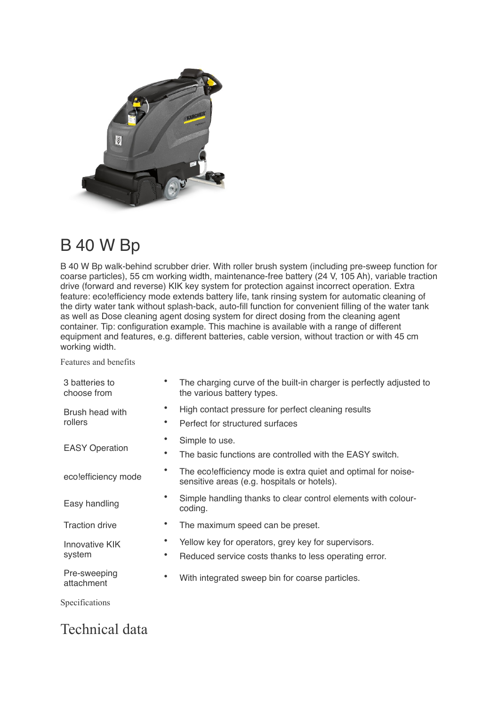

## B 40 W Bp

B 40 W Bp walk-behind scrubber drier. With roller brush system (including pre-sweep function for coarse particles), 55 cm working width, maintenance-free battery (24 V, 105 Ah), variable traction drive (forward and reverse) KIK key system for protection against incorrect operation. Extra feature: eco!efficiency mode extends battery life, tank rinsing system for automatic cleaning of the dirty water tank without splash-back, auto-fill function for convenient filling of the water tank as well as Dose cleaning agent dosing system for direct dosing from the cleaning agent container. Tip: configuration example. This machine is available with a range of different equipment and features, e.g. different batteries, cable version, without traction or with 45 cm working width.

Features and benefits

| 3 batteries to<br>choose from | The charging curve of the built-in charger is perfectly adjusted to<br>the various battery types.            |
|-------------------------------|--------------------------------------------------------------------------------------------------------------|
| Brush head with<br>rollers    | High contact pressure for perfect cleaning results<br>Perfect for structured surfaces                        |
| <b>EASY Operation</b>         | Simple to use.<br>The basic functions are controlled with the EASY switch.                                   |
| eco!efficiency mode           | The ecolefficiency mode is extra quiet and optimal for noise-<br>sensitive areas (e.g. hospitals or hotels). |
| Easy handling                 | Simple handling thanks to clear control elements with colour-<br>coding.                                     |
| <b>Traction drive</b>         | The maximum speed can be preset.                                                                             |
| Innovative KIK<br>system      | Yellow key for operators, grey key for supervisors.<br>Reduced service costs thanks to less operating error. |
| Pre-sweeping<br>attachment    | With integrated sweep bin for coarse particles.                                                              |
| Specifications                |                                                                                                              |

## Technical data